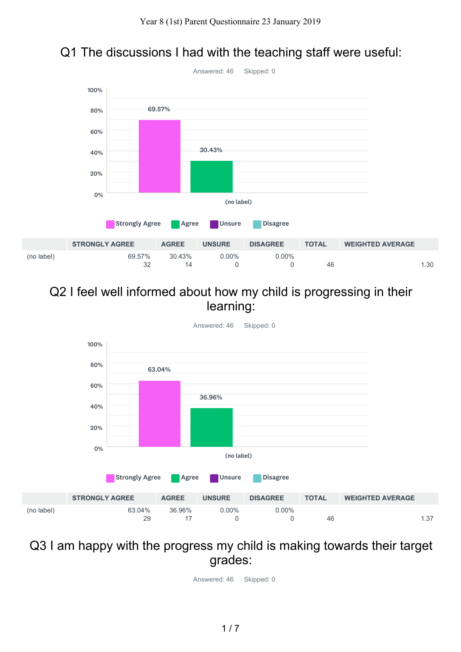

## Q1 The discussions I had with the teaching staff were useful:

### Q2 I feel well informed about how my child is progressing in their learning:



### Q3 I am happy with the progress my child is making towards their target grades: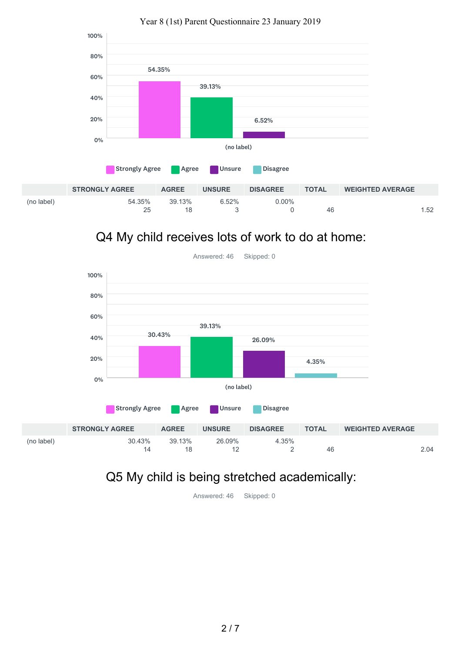

Q4 My child receives lots of work to do at home:



# Q5 My child is being stretched academically: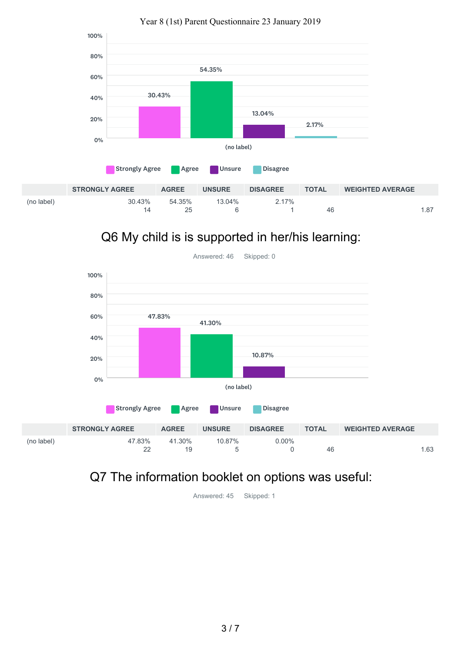

# Q6 My child is is supported in her/his learning:



## Q7 The information booklet on options was useful: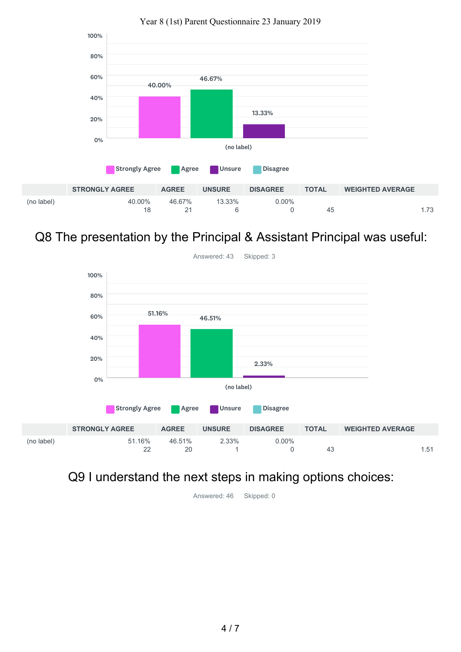

Q8 The presentation by the Principal & Assistant Principal was useful:



### Q9 I understand the next steps in making options choices: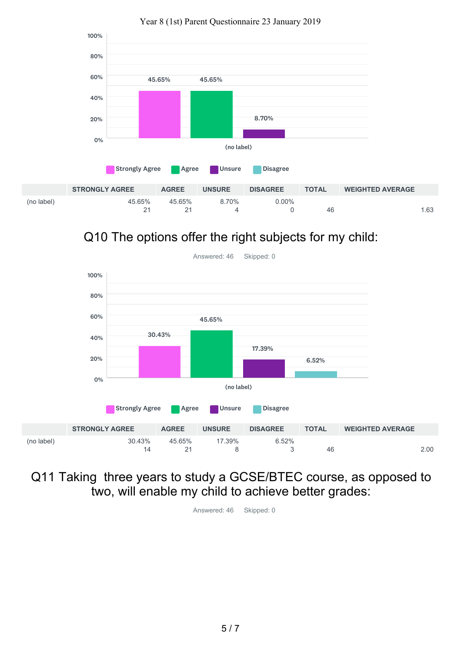

Q10 The options offer the right subjects for my child:



Q11 Taking three years to study a GCSE/BTEC course, as opposed to two, will enable my child to achieve better grades: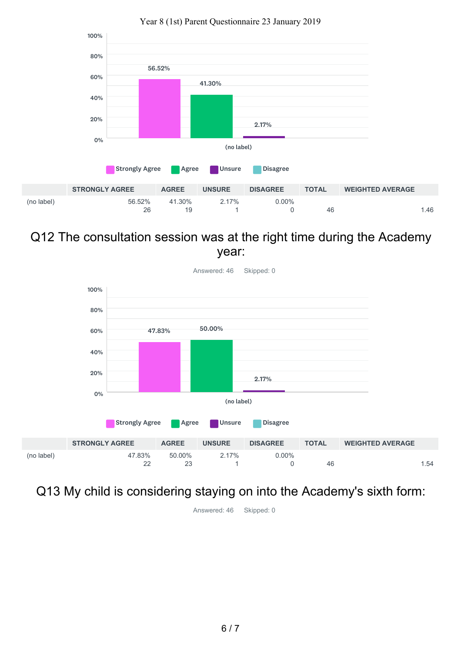

### Q12 The consultation session was at the right time during the Academy year:



Answered: 46 Skipped: 0

### Q13 My child is considering staying on into the Academy's sixth form: